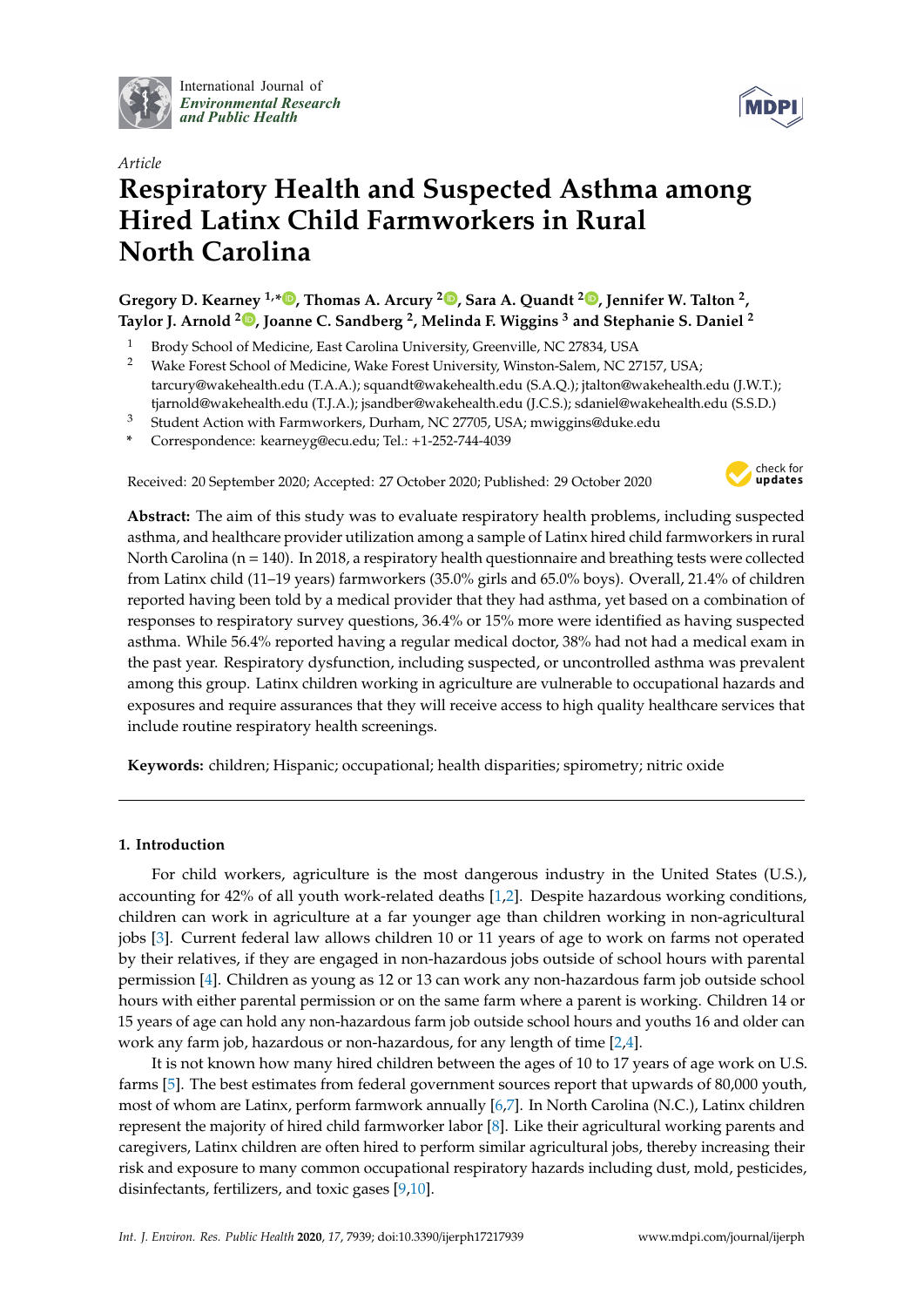

International Journal of *[Environmental Research](http://www.mdpi.com/journal/ijerph) and Public Health*



# *Article* **Respiratory Health and Suspected Asthma among Hired Latinx Child Farmworkers in Rural North Carolina**

## **Gregory D. Kearney 1,\* [,](https://orcid.org/0000-0001-9684-9516) Thomas A. Arcury <sup>2</sup> [,](https://orcid.org/0000-0001-9523-9492) Sara A. Quandt <sup>2</sup> [,](https://orcid.org/0000-0002-2968-5459) Jennifer W. Talton <sup>2</sup> , Taylor J. Arnold <sup>2</sup> [,](https://orcid.org/0000-0002-3575-1512) Joanne C. Sandberg <sup>2</sup> , Melinda F. Wiggins <sup>3</sup> and Stephanie S. Daniel <sup>2</sup>**

- <sup>1</sup> Brody School of Medicine, East Carolina University, Greenville, NC 27834, USA<br><sup>2</sup> Wake Forest School of Medicine, Wake Forest University, Winston-Salem, NC 27
- <sup>2</sup> Wake Forest School of Medicine, Wake Forest University, Winston-Salem, NC 27157, USA; tarcury@wakehealth.edu (T.A.A.); squandt@wakehealth.edu (S.A.Q.); jtalton@wakehealth.edu (J.W.T.); tjarnold@wakehealth.edu (T.J.A.); jsandber@wakehealth.edu (J.C.S.); sdaniel@wakehealth.edu (S.S.D.)
- <sup>3</sup> Student Action with Farmworkers, Durham, NC 27705, USA; mwiggins@duke.edu
- **\*** Correspondence: kearneyg@ecu.edu; Tel.: +1-252-744-4039

Received: 20 September 2020; Accepted: 27 October 2020; Published: 29 October 2020



**Abstract:** The aim of this study was to evaluate respiratory health problems, including suspected asthma, and healthcare provider utilization among a sample of Latinx hired child farmworkers in rural North Carolina (n = 140). In 2018, a respiratory health questionnaire and breathing tests were collected from Latinx child (11–19 years) farmworkers (35.0% girls and 65.0% boys). Overall, 21.4% of children reported having been told by a medical provider that they had asthma, yet based on a combination of responses to respiratory survey questions, 36.4% or 15% more were identified as having suspected asthma. While 56.4% reported having a regular medical doctor, 38% had not had a medical exam in the past year. Respiratory dysfunction, including suspected, or uncontrolled asthma was prevalent among this group. Latinx children working in agriculture are vulnerable to occupational hazards and exposures and require assurances that they will receive access to high quality healthcare services that include routine respiratory health screenings.

**Keywords:** children; Hispanic; occupational; health disparities; spirometry; nitric oxide

## **1. Introduction**

For child workers, agriculture is the most dangerous industry in the United States (U.S.), accounting for 42% of all youth work-related deaths [\[1,](#page-9-0)[2\]](#page-9-1). Despite hazardous working conditions, children can work in agriculture at a far younger age than children working in non-agricultural jobs [\[3\]](#page-9-2). Current federal law allows children 10 or 11 years of age to work on farms not operated by their relatives, if they are engaged in non-hazardous jobs outside of school hours with parental permission [\[4\]](#page-9-3). Children as young as 12 or 13 can work any non-hazardous farm job outside school hours with either parental permission or on the same farm where a parent is working. Children 14 or 15 years of age can hold any non-hazardous farm job outside school hours and youths 16 and older can work any farm job, hazardous or non-hazardous, for any length of time [\[2](#page-9-1)[,4\]](#page-9-3).

It is not known how many hired children between the ages of 10 to 17 years of age work on U.S. farms [\[5\]](#page-9-4). The best estimates from federal government sources report that upwards of 80,000 youth, most of whom are Latinx, perform farmwork annually [\[6,](#page-9-5)[7\]](#page-9-6). In North Carolina (N.C.), Latinx children represent the majority of hired child farmworker labor [\[8\]](#page-9-7). Like their agricultural working parents and caregivers, Latinx children are often hired to perform similar agricultural jobs, thereby increasing their risk and exposure to many common occupational respiratory hazards including dust, mold, pesticides, disinfectants, fertilizers, and toxic gases [\[9](#page-9-8)[,10\]](#page-9-9).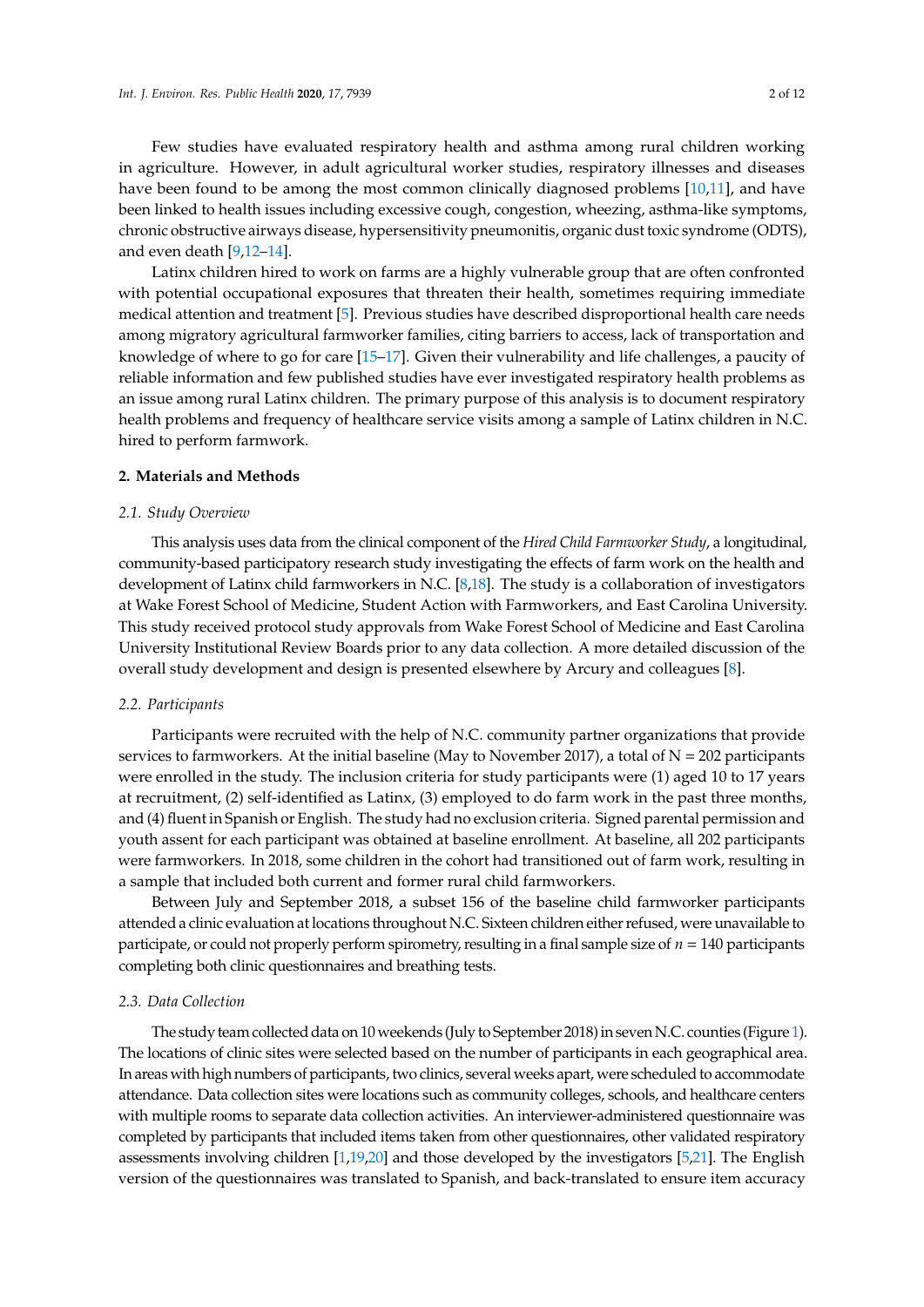Few studies have evaluated respiratory health and asthma among rural children working in agriculture. However, in adult agricultural worker studies, respiratory illnesses and diseases have been found to be among the most common clinically diagnosed problems [\[10](#page-9-9)[,11\]](#page-10-0), and have been linked to health issues including excessive cough, congestion, wheezing, asthma-like symptoms, chronic obstructive airways disease, hypersensitivity pneumonitis, organic dust toxic syndrome (ODTS), and even death [\[9,](#page-9-8)[12](#page-10-1)[–14\]](#page-10-2).

Latinx children hired to work on farms are a highly vulnerable group that are often confronted with potential occupational exposures that threaten their health, sometimes requiring immediate medical attention and treatment [\[5\]](#page-9-4). Previous studies have described disproportional health care needs among migratory agricultural farmworker families, citing barriers to access, lack of transportation and knowledge of where to go for care [\[15](#page-10-3)[–17\]](#page-10-4). Given their vulnerability and life challenges, a paucity of reliable information and few published studies have ever investigated respiratory health problems as an issue among rural Latinx children. The primary purpose of this analysis is to document respiratory health problems and frequency of healthcare service visits among a sample of Latinx children in N.C. hired to perform farmwork.

#### **2. Materials and Methods**

#### *2.1. Study Overview*

This analysis uses data from the clinical component of the *Hired Child Farmworker Study*, a longitudinal, community-based participatory research study investigating the effects of farm work on the health and development of Latinx child farmworkers in N.C. [\[8](#page-9-7)[,18\]](#page-10-5). The study is a collaboration of investigators at Wake Forest School of Medicine, Student Action with Farmworkers, and East Carolina University. This study received protocol study approvals from Wake Forest School of Medicine and East Carolina University Institutional Review Boards prior to any data collection. A more detailed discussion of the overall study development and design is presented elsewhere by Arcury and colleagues [\[8\]](#page-9-7).

## *2.2. Participants*

Participants were recruited with the help of N.C. community partner organizations that provide services to farmworkers. At the initial baseline (May to November 2017), a total of  $N = 202$  participants were enrolled in the study. The inclusion criteria for study participants were (1) aged 10 to 17 years at recruitment, (2) self-identified as Latinx, (3) employed to do farm work in the past three months, and (4) fluent in Spanish or English. The study had no exclusion criteria. Signed parental permission and youth assent for each participant was obtained at baseline enrollment. At baseline, all 202 participants were farmworkers. In 2018, some children in the cohort had transitioned out of farm work, resulting in a sample that included both current and former rural child farmworkers.

Between July and September 2018, a subset 156 of the baseline child farmworker participants attended a clinic evaluation at locations throughout N.C. Sixteen children either refused, were unavailable to participate, or could not properly perform spirometry, resulting in a final sample size of *n* = 140 participants completing both clinic questionnaires and breathing tests.

#### *2.3. Data Collection*

The study team collected data on 10 weekends (July to September 2018)in seven N.C. counties (Figure [1\)](#page-2-0). The locations of clinic sites were selected based on the number of participants in each geographical area. In areas with high numbers of participants, two clinics, several weeks apart, were scheduled to accommodate attendance. Data collection sites were locations such as community colleges, schools, and healthcare centers with multiple rooms to separate data collection activities. An interviewer-administered questionnaire was completed by participants that included items taken from other questionnaires, other validated respiratory assessments involving children [\[1,](#page-9-0)[19](#page-10-6)[,20\]](#page-10-7) and those developed by the investigators [\[5,](#page-9-4)[21\]](#page-10-8). The English version of the questionnaires was translated to Spanish, and back-translated to ensure item accuracy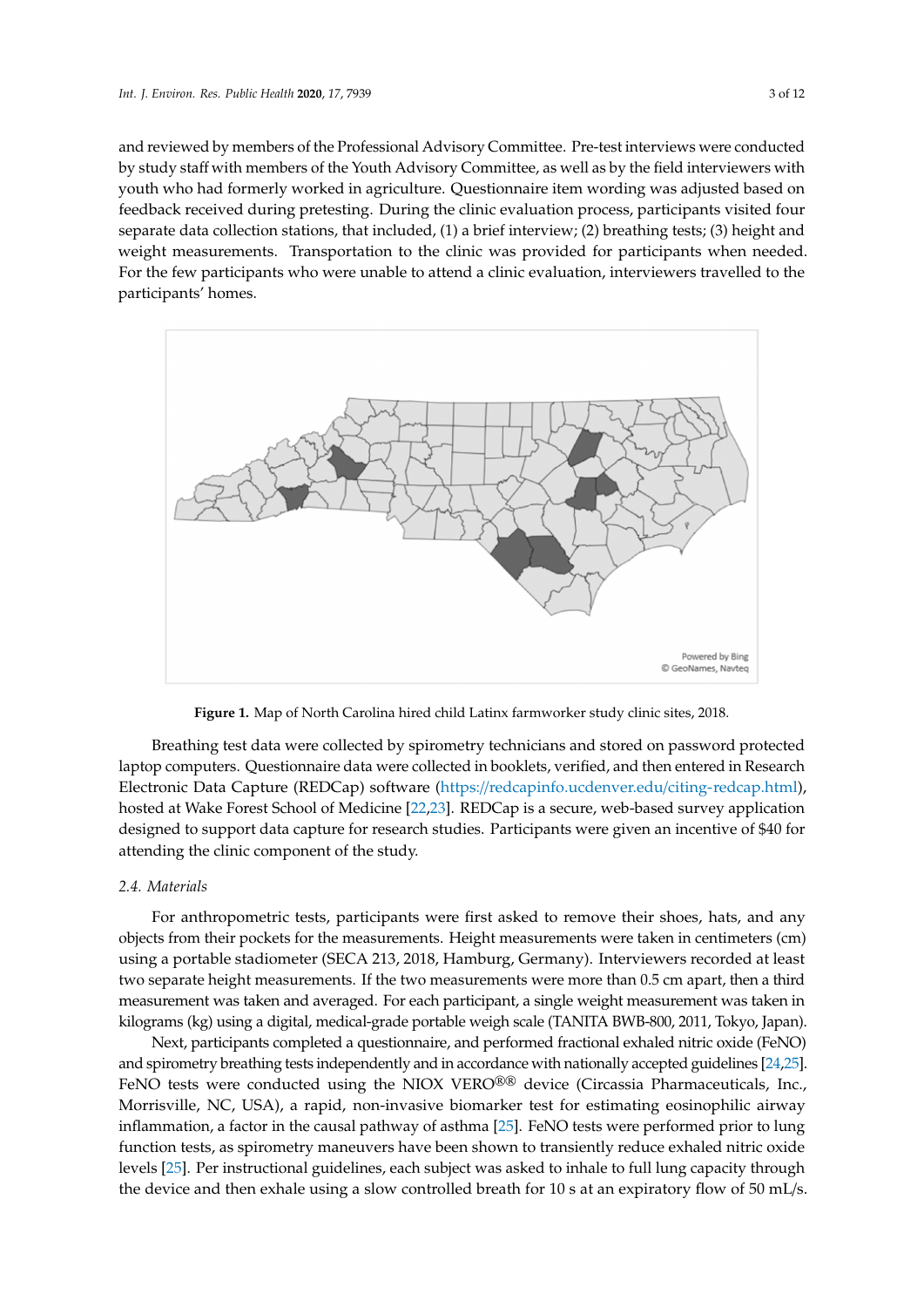and reviewed by members of the Professional Advisory Committee. Pre-test interviews were conducted by study staff with members of the Youth Advisory Committee, as well as by the field interviewers with by study staff with members of the Youth Advisory Committee, as well as by the field interviewers with<br>youth who had formerly worked in agriculture. Questionnaire item wording was adjusted based on feedback received during pretesting. During the clinic evaluation process, participants visited four<br>separate data collection stations, that included, (1) a brief interview; (2) breathing tests; (3) height and separate data collection stations, that included, (1) a brief interview; (2) breathing tests; (3) height and weight measurements. Transportation to the clinic was provided for participants when needed. For the few participants who were unable to attend a clinic evaluation, interviewers travelled to the participants' homes. We unable to attend a clinic evaluation, interviewers travelled to the participants' homes.

<span id="page-2-0"></span>

**Figure 1.** Map of North Carolina hired child Latinx farmworker study clinic sites, 2018. **Figure 1.** Map of North Carolina hired child Latinx farmworker study clinic sites, 2018.

Breathing test data were collected by spirometry technicians and stored on password protected Breathing test data were collected by spirometry technicians and stored on password protected laptop computers. Questionnaire data were collected in booklets, verified, and then entered in laptop computers. Questionnaire data were collected in booklets, verified, and then entered in Research Research Electronic Data Capture (REDCa[p\) software \(https://redcapinfo.ucdenver.edu/citing](https://redcapinfo.ucdenver.edu/citing-redcap.html)-Electronic Data Capture (REDCap) software (https://redcapinfo.ucdenver.edu/citing-redcap.html), hosted at Wake Forest School of Medicine [\[22,](#page-10-9)[23\]](#page-10-10). REDCap is a secure, web-based survey application designed to support data capture for research studies. Participants were given an incentive of \$40 for attending the clinic component of the study.

## *2.4. Materials 2.4. Materials*

For anthropometric tests, participants were first asked to remove their shoes, hats, and any the shoes of the shoes and any the shoes of the shoes are the shoes and any the shock of the shock of the shock of the shock of t objects from their pockets for the measurements. Height measurements were taken in centimeters (cm) using a portable stadiometer (SECA 213, 2018, Hamburg, Germany). Interviewers recorded at least<br>. two separate height measurements. If the two measurements were more than 0.5 cm apart, then a third two separate height measurement was taken and averaged. For each participant, a single weight measurement was taken in<br>https://www.com/www.com/www.com/www.com/www.com/www.com/www.com/www.com/www.com/www.com/www.com/www.com/www.co kilograms (kg) using a digital, medical-grade portable weigh scale (TANITA BWB-800, 2011, Tokyo, Japan).<br>California

 $\frac{1}{2}$ and sphoricly breating tests interpendently and in accordance which individually accepted guidennes  $[24,25]$ .<br>FeNO tests were conducted using the NIOX VERO<sup>®®</sup> device (Circassia Pharmaceuticals, Inc., FINO and spirometry breathing the interview and independent indimentally and in were consumed using  $\frac{251}{25}$ . Figure and  $\frac{251}{25}$  and  $\frac{251}{25}$  vertex  $\frac{251}{25}$  and  $\frac{251}{25}$  and  $\frac{251}{25}$  and  $\frac{251}{25}$  and  $\frac{251}{25}$  and  $\frac{251}{25}$  and  $\frac{251}{25}$  and  $\frac{251}{25}$  and  $\frac{$ inflammation, a factor in the causal pathway of asthma [\[25\]](#page-10-12). FeNO tests were performed prior to lung  $\epsilon$ existence and the causal pathway indicately interests in the causal pathway of an existence causal pathway of  $\frac{1}{2}$ . levels [\[25\]](#page-10-12). Per instructional guidelines, each subject was asked to inhale to full lung capacity through in the shown to the capacity of  $\sim$  6.50 km the device and then exhale using a slow controlled breath for  $10$  s at an expiratory flow of  $50$  mL/s. Next, participants completed a questionnaire, and performed fractional exhaled nitric oxide (FeNO) and spirometry breathing tests independently and in accordance with nationally accepted guidelines [\[24](#page-10-11)[,25\]](#page-10-12). Morrisville, NC, USA), a rapid, non-invasive biomarker test for estimating eosinophilic airway function tests, as spirometry maneuvers have been shown to transiently reduce exhaled nitric oxide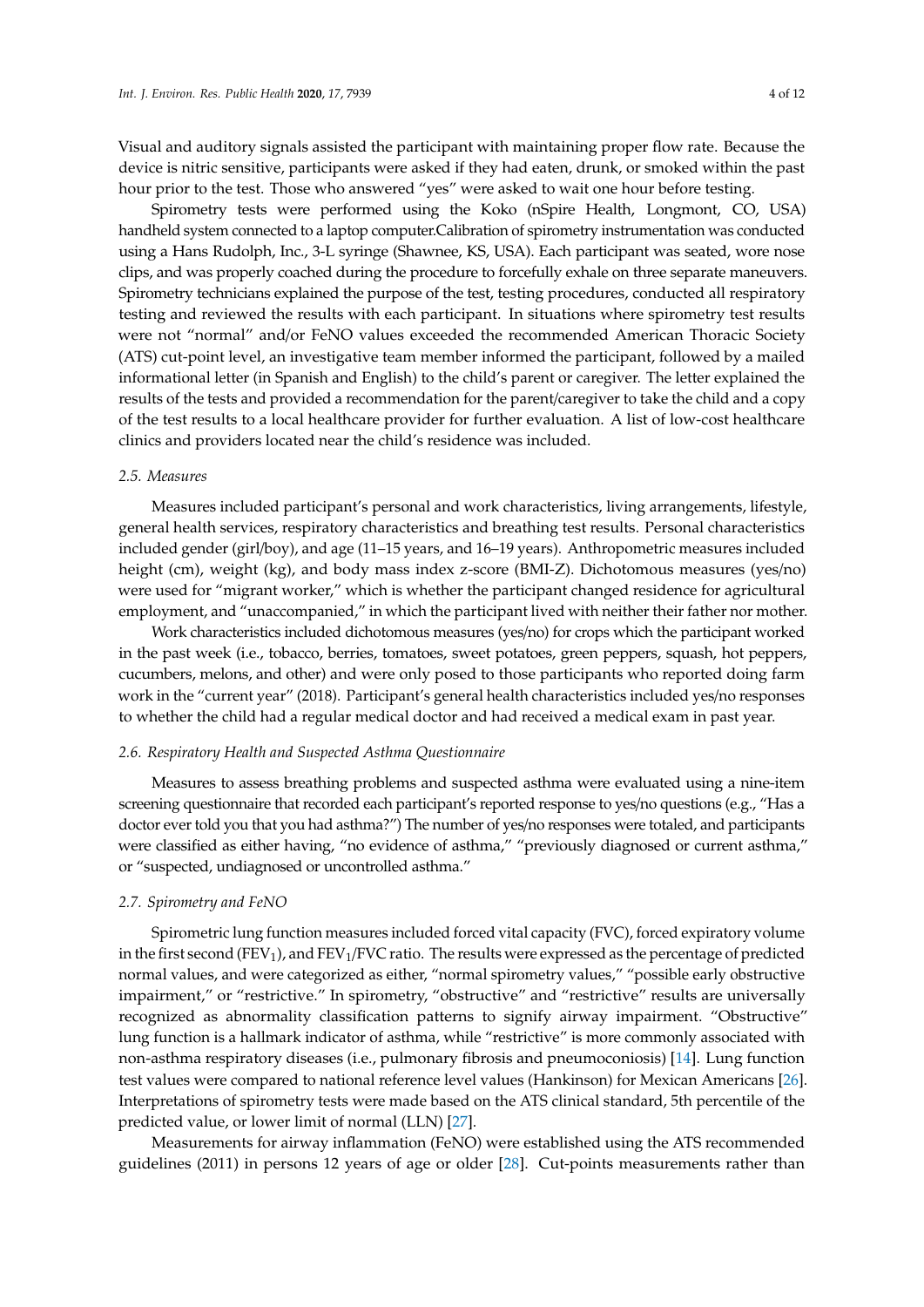Visual and auditory signals assisted the participant with maintaining proper flow rate. Because the device is nitric sensitive, participants were asked if they had eaten, drunk, or smoked within the past hour prior to the test. Those who answered "yes" were asked to wait one hour before testing.

Spirometry tests were performed using the Koko (nSpire Health, Longmont, CO, USA) handheld system connected to a laptop computer.Calibration of spirometry instrumentation was conducted using a Hans Rudolph, Inc., 3-L syringe (Shawnee, KS, USA). Each participant was seated, wore nose clips, and was properly coached during the procedure to forcefully exhale on three separate maneuvers. Spirometry technicians explained the purpose of the test, testing procedures, conducted all respiratory testing and reviewed the results with each participant. In situations where spirometry test results were not "normal" and/or FeNO values exceeded the recommended American Thoracic Society (ATS) cut-point level, an investigative team member informed the participant, followed by a mailed informational letter (in Spanish and English) to the child's parent or caregiver. The letter explained the results of the tests and provided a recommendation for the parent/caregiver to take the child and a copy of the test results to a local healthcare provider for further evaluation. A list of low-cost healthcare clinics and providers located near the child's residence was included.

## *2.5. Measures*

Measures included participant's personal and work characteristics, living arrangements, lifestyle, general health services, respiratory characteristics and breathing test results. Personal characteristics included gender (girl/boy), and age (11–15 years, and 16–19 years). Anthropometric measures included height (cm), weight (kg), and body mass index z-score (BMI-Z). Dichotomous measures (yes/no) were used for "migrant worker," which is whether the participant changed residence for agricultural employment, and "unaccompanied," in which the participant lived with neither their father nor mother.

Work characteristics included dichotomous measures (yes/no) for crops which the participant worked in the past week (i.e., tobacco, berries, tomatoes, sweet potatoes, green peppers, squash, hot peppers, cucumbers, melons, and other) and were only posed to those participants who reported doing farm work in the "current year" (2018). Participant's general health characteristics included yes/no responses to whether the child had a regular medical doctor and had received a medical exam in past year.

## *2.6. Respiratory Health and Suspected Asthma Questionnaire*

Measures to assess breathing problems and suspected asthma were evaluated using a nine-item screening questionnaire that recorded each participant's reported response to yes/no questions (e.g., "Has a doctor ever told you that you had asthma?") The number of yes/no responses were totaled, and participants were classified as either having, "no evidence of asthma," "previously diagnosed or current asthma," or "suspected, undiagnosed or uncontrolled asthma."

## *2.7. Spirometry and FeNO*

Spirometric lung function measures included forced vital capacity (FVC), forced expiratory volume in the first second ( $FEV_1$ ), and  $FEV_1/FVC$  ratio. The results were expressed as the percentage of predicted normal values, and were categorized as either, "normal spirometry values," "possible early obstructive impairment," or "restrictive." In spirometry, "obstructive" and "restrictive" results are universally recognized as abnormality classification patterns to signify airway impairment. "Obstructive" lung function is a hallmark indicator of asthma, while "restrictive" is more commonly associated with non-asthma respiratory diseases (i.e., pulmonary fibrosis and pneumoconiosis) [\[14\]](#page-10-2). Lung function test values were compared to national reference level values (Hankinson) for Mexican Americans [\[26\]](#page-10-13). Interpretations of spirometry tests were made based on the ATS clinical standard, 5th percentile of the predicted value, or lower limit of normal (LLN) [\[27\]](#page-10-14).

Measurements for airway inflammation (FeNO) were established using the ATS recommended guidelines (2011) in persons 12 years of age or older [\[28\]](#page-10-15). Cut-points measurements rather than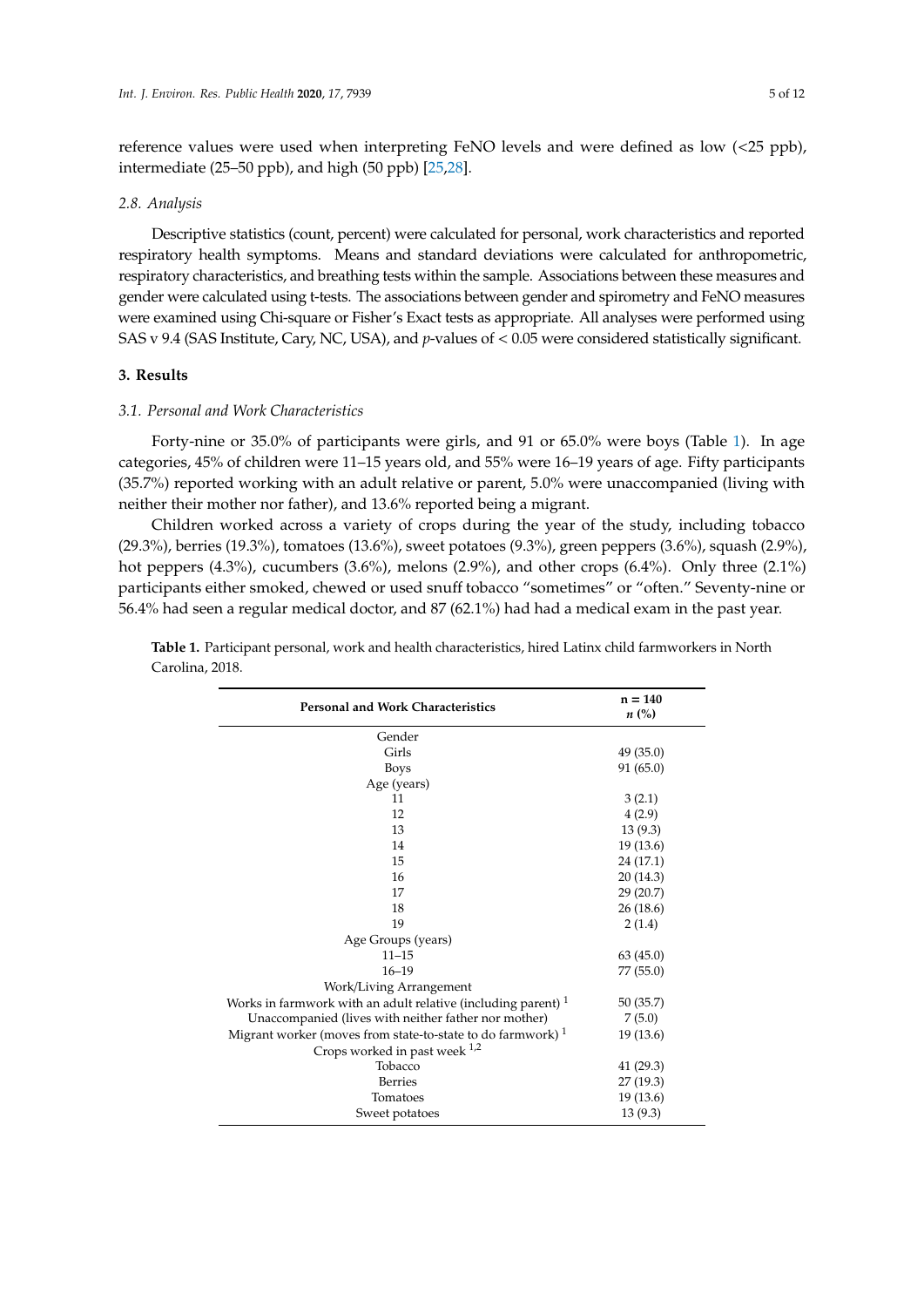reference values were used when interpreting FeNO levels and were defined as low (<25 ppb), intermediate (25–50 ppb), and high (50 ppb) [\[25](#page-10-12)[,28\]](#page-10-15).

#### *2.8. Analysis*

Descriptive statistics (count, percent) were calculated for personal, work characteristics and reported respiratory health symptoms. Means and standard deviations were calculated for anthropometric, respiratory characteristics, and breathing tests within the sample. Associations between these measures and gender were calculated using t-tests. The associations between gender and spirometry and FeNO measures were examined using Chi-square or Fisher's Exact tests as appropriate. All analyses were performed using SAS v 9.4 (SAS Institute, Cary, NC, USA), and *p*-values of < 0.05 were considered statistically significant.

## **3. Results**

## *3.1. Personal and Work Characteristics*

Forty-nine or 35.0% of participants were girls, and 91 or 65.0% were boys (Table [1\)](#page-5-0). In age categories, 45% of children were 11–15 years old, and 55% were 16–19 years of age. Fifty participants (35.7%) reported working with an adult relative or parent, 5.0% were unaccompanied (living with neither their mother nor father), and 13.6% reported being a migrant.

Children worked across a variety of crops during the year of the study, including tobacco (29.3%), berries (19.3%), tomatoes (13.6%), sweet potatoes (9.3%), green peppers (3.6%), squash (2.9%), hot peppers (4.3%), cucumbers (3.6%), melons (2.9%), and other crops (6.4%). Only three (2.1%) participants either smoked, chewed or used snuff tobacco "sometimes" or "often." Seventy-nine or 56.4% had seen a regular medical doctor, and 87 (62.1%) had had a medical exam in the past year.

> **Personal and Work Characteristics <sup>n</sup>** <sup>=</sup> **<sup>140</sup>** *n* **(%)** Gender Girls 49 (35.0) Boys 91 (65.0) Age (years) 11 3 (2.1)  $12 \t\t 4(2.9)$ 13 13 13 13 13 13 14 19 113.6 14 19 (13.6)<br>15 24 (17.1) 24 (17.1) 16 20 (14.3) 17 29 (20.7) 18 26 (18.6)<br>19 2 (1.4)  $2(1.4)$ Age Groups (years) 11–15 63 (45.0) 16–19 77 (55.0) Work/Living Arrangement Works in farmwork with an adult relative (including parent)  $1$  50 (35.7) Unaccompanied (lives with neither father nor mother) 7 (5.0) Migrant worker (moves from state-to-state to do farmwork)  $1$  19 (13.6) Crops worked in past week 1,2 Tobacco 41 (29.3) Berries 27 (19.3) Tomatoes 19 (13.6) Sweet potatoes 13 (9.3)

**Table 1.** Participant personal, work and health characteristics, hired Latinx child farmworkers in North Carolina, 2018.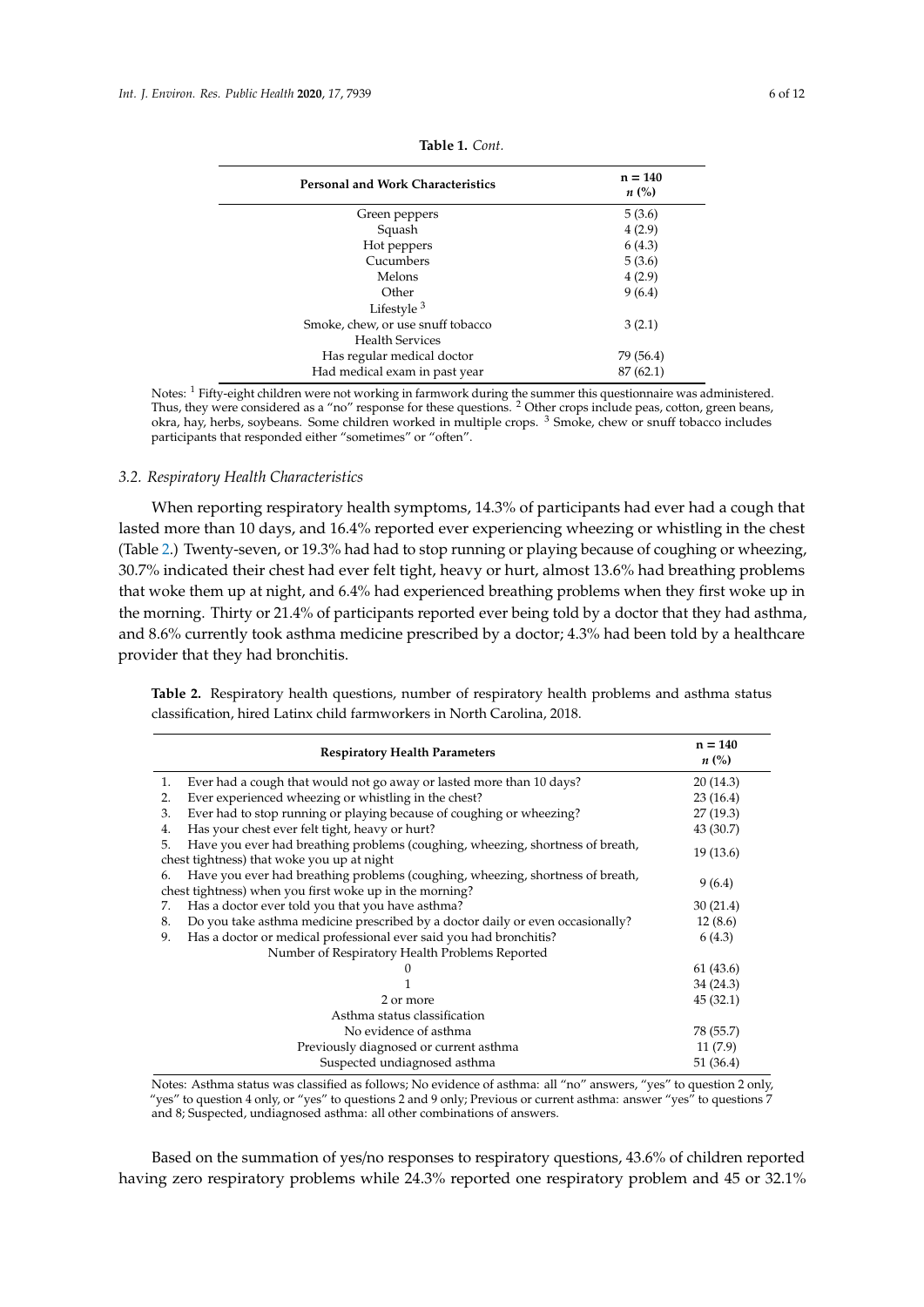<span id="page-5-0"></span>

| <b>Personal and Work Characteristics</b> | $n = 140$<br>$n\left(\%\right)$ |  |  |
|------------------------------------------|---------------------------------|--|--|
| Green peppers                            | 5(3.6)                          |  |  |
| Squash                                   | 4(2.9)                          |  |  |
| Hot peppers                              | 6(4.3)                          |  |  |
| Cucumbers                                | 5(3.6)                          |  |  |
| Melons                                   | 4(2.9)                          |  |  |
| Other                                    | 9(6.4)                          |  |  |
| Lifestyle <sup>3</sup>                   |                                 |  |  |

**Table 1.** *Cont.*

Notes: <sup>1</sup> Fifty-eight children were not working in farmwork during the summer this questionnaire was administered. Thus, they were considered as a "no" response for these questions. <sup>2</sup> Other crops include peas, cotton, green beans, okra, hay, herbs, soybeans. Some children worked in multiple crops. <sup>3</sup> Smoke, chew or snuff tobacco includes participants that responded either "sometimes" or "often".

Health Services

Smoke, chew, or use snuff tobacco 3 (2.1)

Has regular medical doctor 79 (56.4) Had medical exam in past year 87 (62.1)

## *3.2. Respiratory Health Characteristics*

When reporting respiratory health symptoms, 14.3% of participants had ever had a cough that lasted more than 10 days, and 16.4% reported ever experiencing wheezing or whistling in the chest (Table [2.](#page-5-1)) Twenty-seven, or 19.3% had had to stop running or playing because of coughing or wheezing, 30.7% indicated their chest had ever felt tight, heavy or hurt, almost 13.6% had breathing problems that woke them up at night, and 6.4% had experienced breathing problems when they first woke up in the morning. Thirty or 21.4% of participants reported ever being told by a doctor that they had asthma, and 8.6% currently took asthma medicine prescribed by a doctor; 4.3% had been told by a healthcare provider that they had bronchitis.

<span id="page-5-1"></span>**Table 2.** Respiratory health questions, number of respiratory health problems and asthma status classification, hired Latinx child farmworkers in North Carolina, 2018.

| <b>Respiratory Health Parameters</b>                                                                                                            | $n = 140$<br>$n\ (\%)$ |
|-------------------------------------------------------------------------------------------------------------------------------------------------|------------------------|
| Ever had a cough that would not go away or lasted more than 10 days?<br>1.                                                                      | 20(14.3)               |
| Ever experienced wheezing or whistling in the chest?<br>2.                                                                                      | 23(16.4)               |
| Ever had to stop running or playing because of coughing or wheezing?<br>3.                                                                      | 27(19.3)               |
| Has your chest ever felt tight, heavy or hurt?<br>4.                                                                                            | 43 (30.7)              |
| Have you ever had breathing problems (coughing, wheezing, shortness of breath,<br>5.<br>chest tightness) that woke you up at night              | 19 (13.6)              |
| Have you ever had breathing problems (coughing, wheezing, shortness of breath,<br>6.<br>chest tightness) when you first woke up in the morning? | 9(6.4)                 |
| Has a doctor ever told you that you have asthma?<br>7.                                                                                          | 30(21.4)               |
| Do you take asthma medicine prescribed by a doctor daily or even occasionally?<br>8.                                                            | 12(8.6)                |
| Has a doctor or medical professional ever said you had bronchitis?<br>9.                                                                        | 6(4.3)                 |
| Number of Respiratory Health Problems Reported                                                                                                  |                        |
|                                                                                                                                                 | 61 (43.6)              |
|                                                                                                                                                 | 34 (24.3)              |
| 2 or more                                                                                                                                       | 45(32.1)               |
| Asthma status classification                                                                                                                    |                        |
| No evidence of asthma                                                                                                                           | 78 (55.7)              |
| Previously diagnosed or current asthma                                                                                                          | 11(7.9)                |
| Suspected undiagnosed asthma                                                                                                                    | 51 (36.4)              |

Notes: Asthma status was classified as follows; No evidence of asthma: all "no" answers, "yes" to question 2 only, "yes" to question 4 only, or "yes" to questions 2 and 9 only; Previous or current asthma: answer "yes" to questions 7 and 8; Suspected, undiagnosed asthma: all other combinations of answers.

Based on the summation of yes/no responses to respiratory questions, 43.6% of children reported having zero respiratory problems while 24.3% reported one respiratory problem and 45 or 32.1%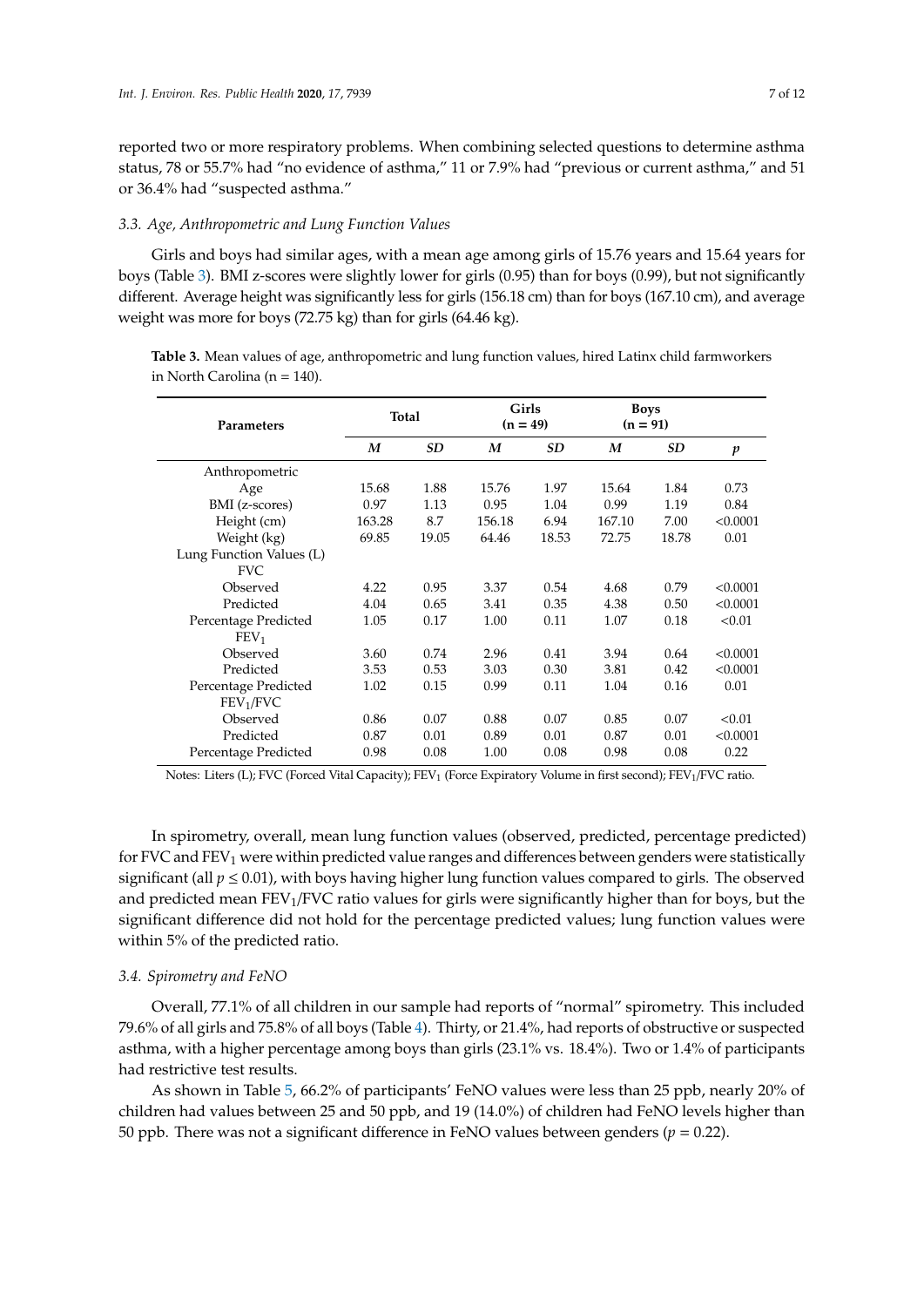reported two or more respiratory problems. When combining selected questions to determine asthma status, 78 or 55.7% had "no evidence of asthma," 11 or 7.9% had "previous or current asthma," and 51 or 36.4% had "suspected asthma."

## *3.3. Age, Anthropometric and Lung Function Values*

Girls and boys had similar ages, with a mean age among girls of 15.76 years and 15.64 years for boys (Table [3\)](#page-6-0). BMI z-scores were slightly lower for girls (0.95) than for boys (0.99), but not significantly different. Average height was significantly less for girls (156.18 cm) than for boys (167.10 cm), and average weight was more for boys (72.75 kg) than for girls (64.46 kg).

<span id="page-6-0"></span>**Table 3.** Mean values of age, anthropometric and lung function values, hired Latinx child farmworkers in North Carolina (n = 140).

| Parameters               | <b>Total</b> |           | Girls<br>$(n = 49)$ |           | <b>Boys</b><br>$(n = 91)$ |           |                  |
|--------------------------|--------------|-----------|---------------------|-----------|---------------------------|-----------|------------------|
|                          | M            | <b>SD</b> | $\boldsymbol{M}$    | <b>SD</b> | M                         | <b>SD</b> | $\boldsymbol{p}$ |
| Anthropometric           |              |           |                     |           |                           |           |                  |
| Age                      | 15.68        | 1.88      | 15.76               | 1.97      | 15.64                     | 1.84      | 0.73             |
| BMI (z-scores)           | 0.97         | 1.13      | 0.95                | 1.04      | 0.99                      | 1.19      | 0.84             |
| Height (cm)              | 163.28       | 8.7       | 156.18              | 6.94      | 167.10                    | 7.00      | < 0.0001         |
| Weight (kg)              | 69.85        | 19.05     | 64.46               | 18.53     | 72.75                     | 18.78     | 0.01             |
| Lung Function Values (L) |              |           |                     |           |                           |           |                  |
| FVC.                     |              |           |                     |           |                           |           |                  |
| Observed                 | 4.22         | 0.95      | 3.37                | 0.54      | 4.68                      | 0.79      | < 0.0001         |
| Predicted                | 4.04         | 0.65      | 3.41                | 0.35      | 4.38                      | 0.50      | < 0.0001         |
| Percentage Predicted     | 1.05         | 0.17      | 1.00                | 0.11      | 1.07                      | 0.18      | < 0.01           |
| FEV <sub>1</sub>         |              |           |                     |           |                           |           |                  |
| Observed                 | 3.60         | 0.74      | 2.96                | 0.41      | 3.94                      | 0.64      | < 0.0001         |
| Predicted                | 3.53         | 0.53      | 3.03                | 0.30      | 3.81                      | 0.42      | < 0.0001         |
| Percentage Predicted     | 1.02         | 0.15      | 0.99                | 0.11      | 1.04                      | 0.16      | 0.01             |
| FEV <sub>1</sub> /FVC    |              |           |                     |           |                           |           |                  |
| Observed                 | 0.86         | 0.07      | 0.88                | 0.07      | 0.85                      | 0.07      | < 0.01           |
| Predicted                | 0.87         | 0.01      | 0.89                | 0.01      | 0.87                      | 0.01      | < 0.0001         |
| Percentage Predicted     | 0.98         | 0.08      | 1.00                | 0.08      | 0.98                      | 0.08      | 0.22             |

Notes: Liters (L); FVC (Forced Vital Capacity); FEV<sub>1</sub> (Force Expiratory Volume in first second); FEV<sub>1</sub>/FVC ratio.

In spirometry, overall, mean lung function values (observed, predicted, percentage predicted) for FVC and FEV<sub>1</sub> were within predicted value ranges and differences between genders were statistically significant (all  $p \le 0.01$ ), with boys having higher lung function values compared to girls. The observed and predicted mean  $FEV<sub>1</sub>/FVC$  ratio values for girls were significantly higher than for boys, but the significant difference did not hold for the percentage predicted values; lung function values were within 5% of the predicted ratio.

## *3.4. Spirometry and FeNO*

Overall, 77.1% of all children in our sample had reports of "normal" spirometry. This included 79.6% of all girls and 75.8% of all boys (Table [4\)](#page-7-0). Thirty, or 21.4%, had reports of obstructive or suspected asthma, with a higher percentage among boys than girls (23.1% vs. 18.4%). Two or 1.4% of participants had restrictive test results.

As shown in Table [5,](#page-7-1) 66.2% of participants' FeNO values were less than 25 ppb, nearly 20% of children had values between 25 and 50 ppb, and 19 (14.0%) of children had FeNO levels higher than 50 ppb. There was not a significant difference in FeNO values between genders ( $p = 0.22$ ).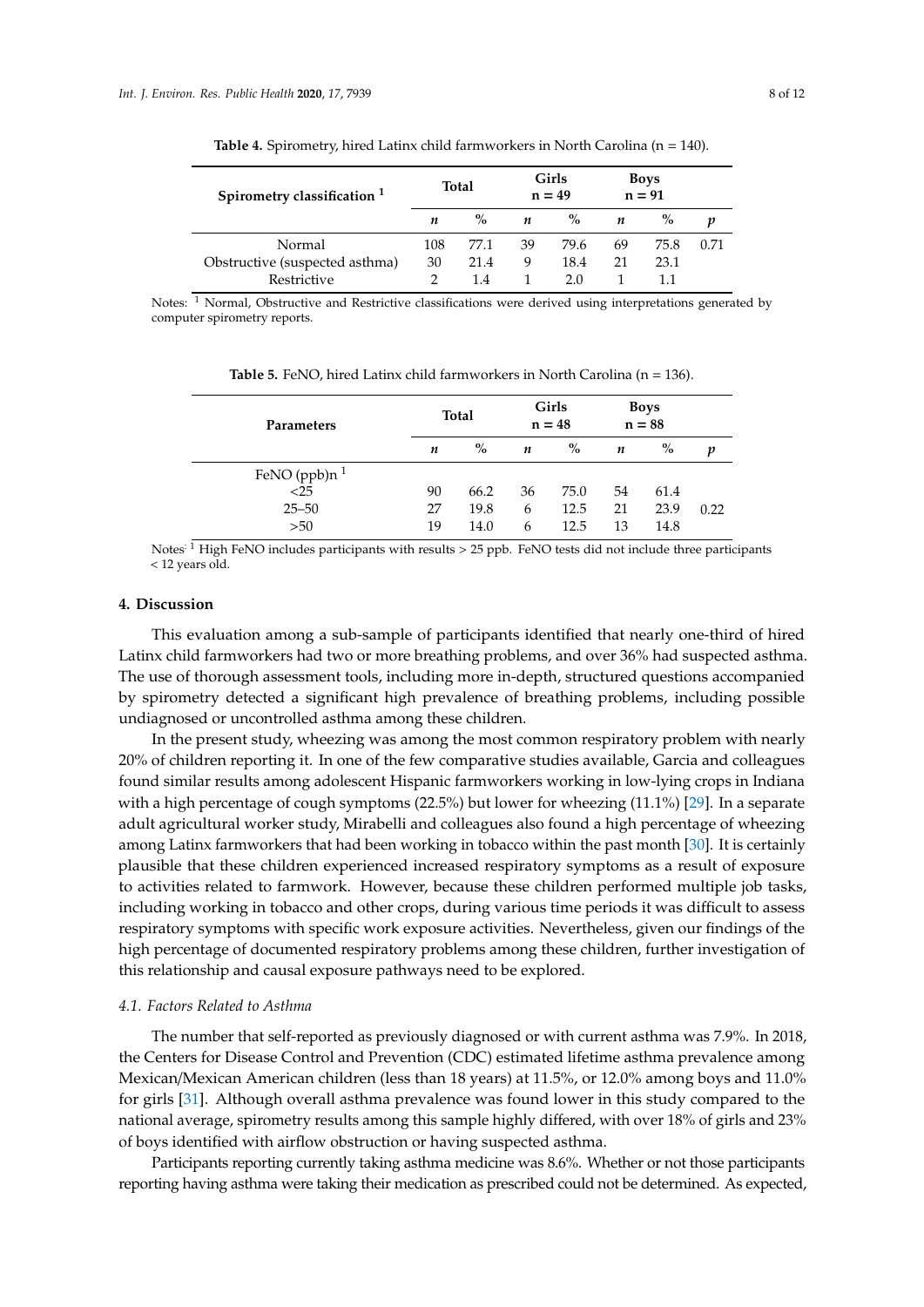<span id="page-7-0"></span>

| Spirometry classification <sup>1</sup> | <b>Total</b> |      | Girls<br>$n = 49$ |      | <b>Boys</b><br>$n = 91$ |      |      |
|----------------------------------------|--------------|------|-------------------|------|-------------------------|------|------|
|                                        | п            | $\%$ | n                 | $\%$ | n                       | $\%$ |      |
| Normal                                 | 108          | 77.1 | 39                | 79.6 | 69                      | 75.8 | 0.71 |
| Obstructive (suspected asthma)         | 30           | 21.4 | 9                 | 18.4 | 21                      | 23.1 |      |
| Restrictive                            |              | 14   |                   | 20   |                         |      |      |

Table 4. Spirometry, hired Latinx child farmworkers in North Carolina (n = 140).

<span id="page-7-1"></span>Notes: <sup>1</sup> Normal, Obstructive and Restrictive classifications were derived using interpretations generated by computer spirometry reports.

| <b>Parameters</b> | <b>Total</b> |      | Girls<br>$n = 48$ |      | <b>Boys</b><br>$n = 88$ |      |      |
|-------------------|--------------|------|-------------------|------|-------------------------|------|------|
|                   | n            | $\%$ | n                 | $\%$ | n                       | $\%$ | v    |
| FeNO (ppb) $n1$   |              |      |                   |      |                         |      |      |
| $<$ 25            | 90           | 66.2 | 36                | 75.0 | 54                      | 61.4 |      |
| $25 - 50$         | 27           | 19.8 | 6                 | 12.5 | 21                      | 23.9 | 0.22 |
| >50               | 19           | 14.0 | 6                 | 12.5 | 13                      | 14.8 |      |

**Table 5.** FeNO, hired Latinx child farmworkers in North Carolina (n = 136).

Notes<sup>: 1</sup> High FeNO includes participants with results > 25 ppb. FeNO tests did not include three participants < 12 years old.

## **4. Discussion**

This evaluation among a sub-sample of participants identified that nearly one-third of hired Latinx child farmworkers had two or more breathing problems, and over 36% had suspected asthma. The use of thorough assessment tools, including more in-depth, structured questions accompanied by spirometry detected a significant high prevalence of breathing problems, including possible undiagnosed or uncontrolled asthma among these children.

In the present study, wheezing was among the most common respiratory problem with nearly 20% of children reporting it. In one of the few comparative studies available, Garcia and colleagues found similar results among adolescent Hispanic farmworkers working in low-lying crops in Indiana with a high percentage of cough symptoms (22.5%) but lower for wheezing (11.1%) [\[29\]](#page-10-16). In a separate adult agricultural worker study, Mirabelli and colleagues also found a high percentage of wheezing among Latinx farmworkers that had been working in tobacco within the past month [\[30\]](#page-10-17). It is certainly plausible that these children experienced increased respiratory symptoms as a result of exposure to activities related to farmwork. However, because these children performed multiple job tasks, including working in tobacco and other crops, during various time periods it was difficult to assess respiratory symptoms with specific work exposure activities. Nevertheless, given our findings of the high percentage of documented respiratory problems among these children, further investigation of this relationship and causal exposure pathways need to be explored.

#### *4.1. Factors Related to Asthma*

The number that self-reported as previously diagnosed or with current asthma was 7.9%. In 2018, the Centers for Disease Control and Prevention (CDC) estimated lifetime asthma prevalence among Mexican/Mexican American children (less than 18 years) at 11.5%, or 12.0% among boys and 11.0% for girls [\[31\]](#page-10-18). Although overall asthma prevalence was found lower in this study compared to the national average, spirometry results among this sample highly differed, with over 18% of girls and 23% of boys identified with airflow obstruction or having suspected asthma.

Participants reporting currently taking asthma medicine was 8.6%. Whether or not those participants reporting having asthma were taking their medication as prescribed could not be determined. As expected,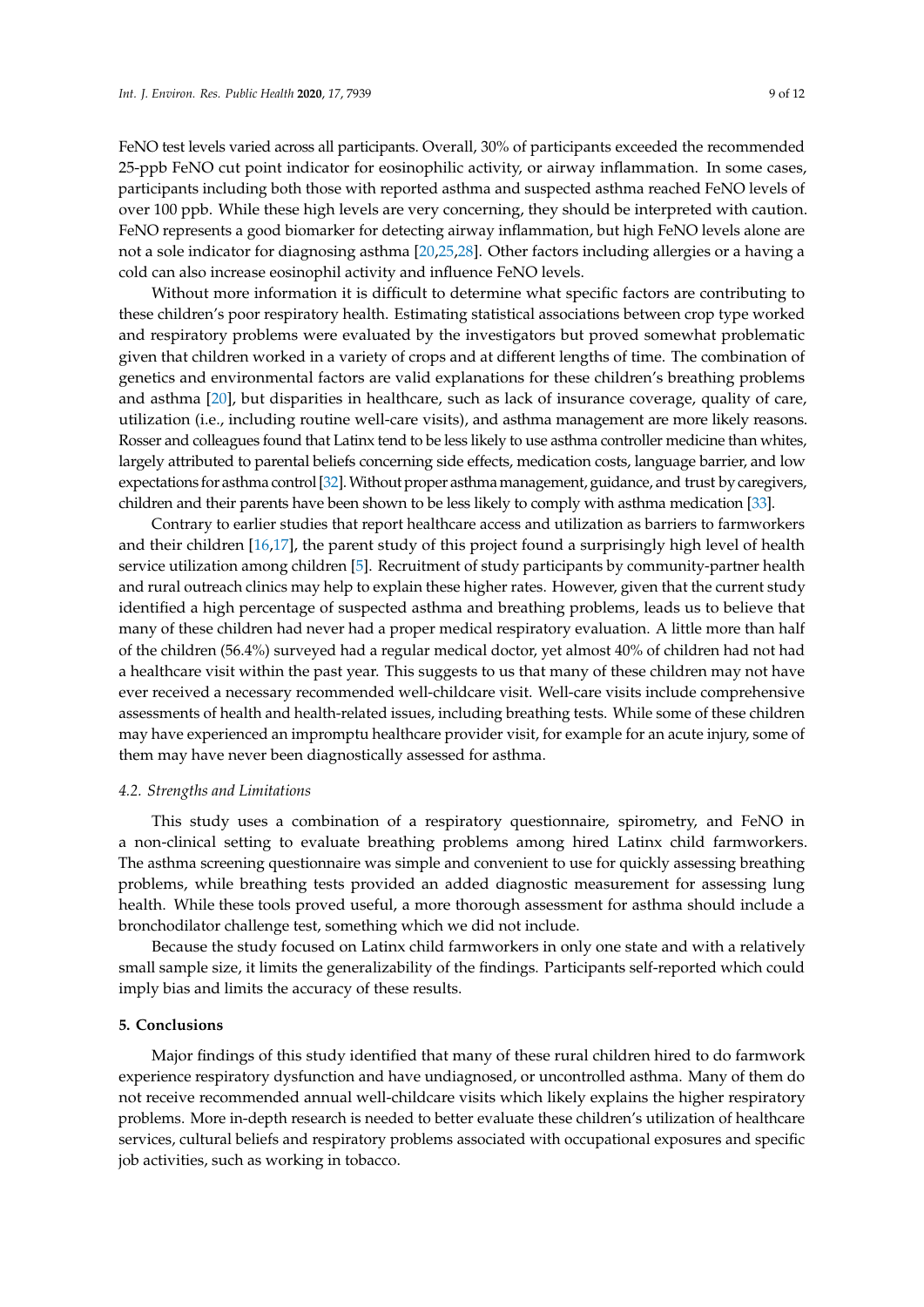FeNO test levels varied across all participants. Overall, 30% of participants exceeded the recommended 25-ppb FeNO cut point indicator for eosinophilic activity, or airway inflammation. In some cases, participants including both those with reported asthma and suspected asthma reached FeNO levels of over 100 ppb. While these high levels are very concerning, they should be interpreted with caution. FeNO represents a good biomarker for detecting airway inflammation, but high FeNO levels alone are not a sole indicator for diagnosing asthma [\[20,](#page-10-7)[25,](#page-10-12)[28\]](#page-10-15). Other factors including allergies or a having a cold can also increase eosinophil activity and influence FeNO levels.

Without more information it is difficult to determine what specific factors are contributing to these children's poor respiratory health. Estimating statistical associations between crop type worked and respiratory problems were evaluated by the investigators but proved somewhat problematic given that children worked in a variety of crops and at different lengths of time. The combination of genetics and environmental factors are valid explanations for these children's breathing problems and asthma [\[20\]](#page-10-7), but disparities in healthcare, such as lack of insurance coverage, quality of care, utilization (i.e., including routine well-care visits), and asthma management are more likely reasons. Rosser and colleagues found that Latinx tend to be less likely to use asthma controller medicine than whites, largely attributed to parental beliefs concerning side effects, medication costs, language barrier, and low expectations for asthma control [\[32\]](#page-11-0). Without proper asthma management, guidance, and trust by caregivers, children and their parents have been shown to be less likely to comply with asthma medication [\[33\]](#page-11-1).

Contrary to earlier studies that report healthcare access and utilization as barriers to farmworkers and their children [\[16,](#page-10-19)[17\]](#page-10-4), the parent study of this project found a surprisingly high level of health service utilization among children [\[5\]](#page-9-4). Recruitment of study participants by community-partner health and rural outreach clinics may help to explain these higher rates. However, given that the current study identified a high percentage of suspected asthma and breathing problems, leads us to believe that many of these children had never had a proper medical respiratory evaluation. A little more than half of the children (56.4%) surveyed had a regular medical doctor, yet almost 40% of children had not had a healthcare visit within the past year. This suggests to us that many of these children may not have ever received a necessary recommended well-childcare visit. Well-care visits include comprehensive assessments of health and health-related issues, including breathing tests. While some of these children may have experienced an impromptu healthcare provider visit, for example for an acute injury, some of them may have never been diagnostically assessed for asthma.

## *4.2. Strengths and Limitations*

This study uses a combination of a respiratory questionnaire, spirometry, and FeNO in a non-clinical setting to evaluate breathing problems among hired Latinx child farmworkers. The asthma screening questionnaire was simple and convenient to use for quickly assessing breathing problems, while breathing tests provided an added diagnostic measurement for assessing lung health. While these tools proved useful, a more thorough assessment for asthma should include a bronchodilator challenge test, something which we did not include.

Because the study focused on Latinx child farmworkers in only one state and with a relatively small sample size, it limits the generalizability of the findings. Participants self-reported which could imply bias and limits the accuracy of these results.

## **5. Conclusions**

Major findings of this study identified that many of these rural children hired to do farmwork experience respiratory dysfunction and have undiagnosed, or uncontrolled asthma. Many of them do not receive recommended annual well-childcare visits which likely explains the higher respiratory problems. More in-depth research is needed to better evaluate these children's utilization of healthcare services, cultural beliefs and respiratory problems associated with occupational exposures and specific job activities, such as working in tobacco.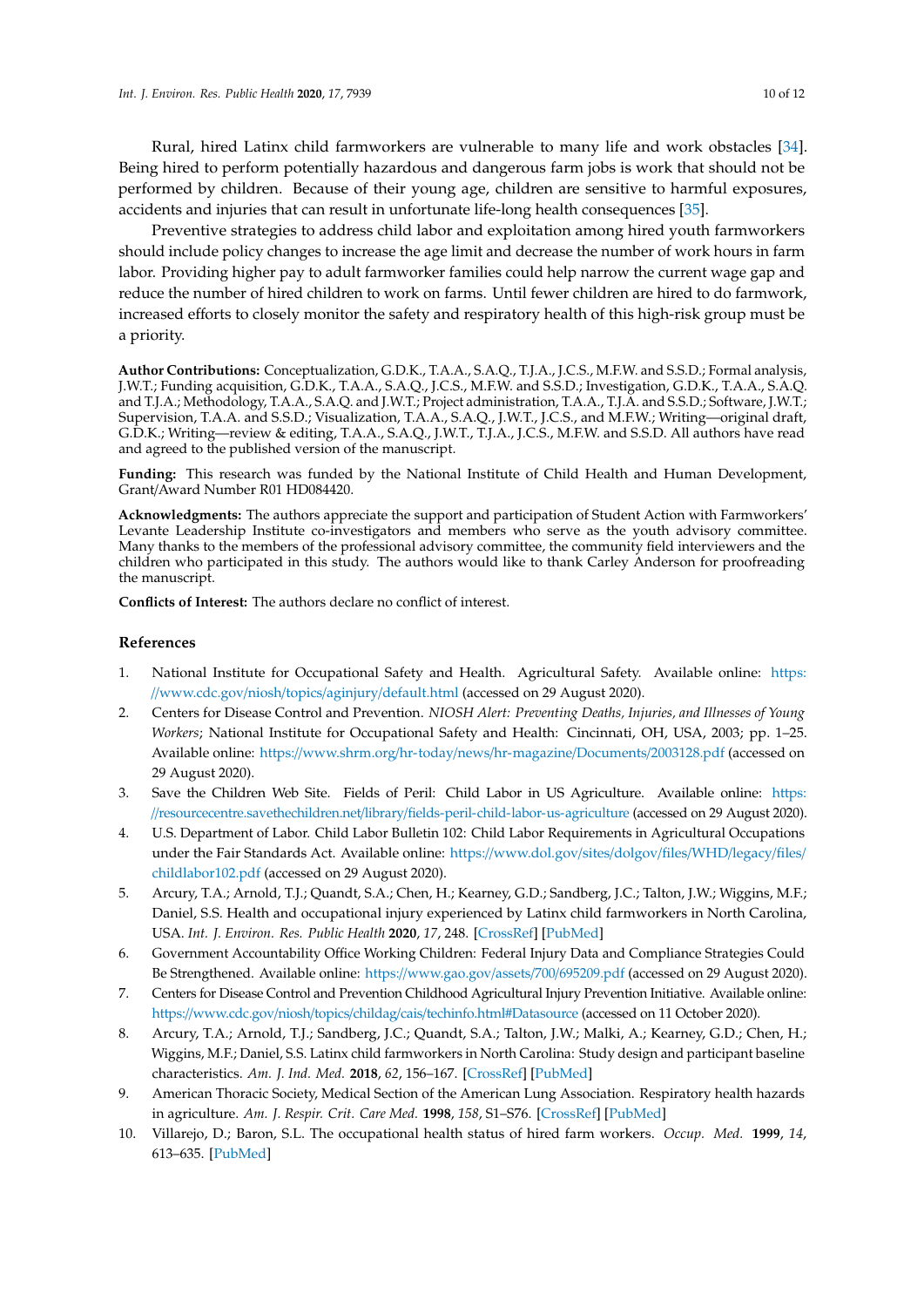Rural, hired Latinx child farmworkers are vulnerable to many life and work obstacles [\[34\]](#page-11-2). Being hired to perform potentially hazardous and dangerous farm jobs is work that should not be performed by children. Because of their young age, children are sensitive to harmful exposures, accidents and injuries that can result in unfortunate life-long health consequences [\[35\]](#page-11-3).

Preventive strategies to address child labor and exploitation among hired youth farmworkers should include policy changes to increase the age limit and decrease the number of work hours in farm labor. Providing higher pay to adult farmworker families could help narrow the current wage gap and reduce the number of hired children to work on farms. Until fewer children are hired to do farmwork, increased efforts to closely monitor the safety and respiratory health of this high-risk group must be a priority.

**Author Contributions:** Conceptualization, G.D.K., T.A.A., S.A.Q., T.J.A., J.C.S., M.F.W. and S.S.D.; Formal analysis, J.W.T.; Funding acquisition, G.D.K., T.A.A., S.A.Q., J.C.S., M.F.W. and S.S.D.; Investigation, G.D.K., T.A.A., S.A.Q. and T.J.A.; Methodology, T.A.A., S.A.Q. and J.W.T.; Project administration, T.A.A., T.J.A. and S.S.D.; Software, J.W.T.; Supervision, T.A.A. and S.S.D.; Visualization, T.A.A., S.A.Q., J.W.T., J.C.S., and M.F.W.; Writing—original draft, G.D.K.; Writing—review & editing, T.A.A., S.A.Q., J.W.T., T.J.A., J.C.S., M.F.W. and S.S.D. All authors have read and agreed to the published version of the manuscript.

**Funding:** This research was funded by the National Institute of Child Health and Human Development, Grant/Award Number R01 HD084420.

**Acknowledgments:** The authors appreciate the support and participation of Student Action with Farmworkers' Levante Leadership Institute co-investigators and members who serve as the youth advisory committee. Many thanks to the members of the professional advisory committee, the community field interviewers and the children who participated in this study. The authors would like to thank Carley Anderson for proofreading the manuscript.

**Conflicts of Interest:** The authors declare no conflict of interest.

## **References**

- <span id="page-9-0"></span>1. National Institute for Occupational Safety and Health. Agricultural Safety. Available online: [https:](https://www.cdc.gov/niosh/topics/aginjury/default.html) //[www.cdc.gov](https://www.cdc.gov/niosh/topics/aginjury/default.html)/niosh/topics/aginjury/default.html (accessed on 29 August 2020).
- <span id="page-9-1"></span>2. Centers for Disease Control and Prevention. *NIOSH Alert: Preventing Deaths, Injuries, and Illnesses of Young Workers*; National Institute for Occupational Safety and Health: Cincinnati, OH, USA, 2003; pp. 1–25. Available online: https://[www.shrm.org](https://www.shrm.org/hr-today/news/hr-magazine/Documents/2003128.pdf)/hr-today/news/hr-magazine/Documents/2003128.pdf (accessed on 29 August 2020).
- <span id="page-9-2"></span>3. Save the Children Web Site. Fields of Peril: Child Labor in US Agriculture. Available online: [https:](https://resourcecentre.savethechildren.net/library/fields-peril-child-labor-us-agriculture) //resourcecentre.savethechildren.net/library/[fields-peril-child-labor-us-agriculture](https://resourcecentre.savethechildren.net/library/fields-peril-child-labor-us-agriculture) (accessed on 29 August 2020).
- <span id="page-9-3"></span>4. U.S. Department of Labor. Child Labor Bulletin 102: Child Labor Requirements in Agricultural Occupations under the Fair Standards Act. Available online: https://[www.dol.gov](https://www.dol.gov/sites/dolgov/files/WHD/legacy/files/childlabor102.pdf)/sites/dolgov/files/WHD/legacy/files/ [childlabor102.pdf](https://www.dol.gov/sites/dolgov/files/WHD/legacy/files/childlabor102.pdf) (accessed on 29 August 2020).
- <span id="page-9-4"></span>5. Arcury, T.A.; Arnold, T.J.; Quandt, S.A.; Chen, H.; Kearney, G.D.; Sandberg, J.C.; Talton, J.W.; Wiggins, M.F.; Daniel, S.S. Health and occupational injury experienced by Latinx child farmworkers in North Carolina, USA. *Int. J. Environ. Res. Public Health* **2020**, *17*, 248. [\[CrossRef\]](http://dx.doi.org/10.3390/ijerph17010248) [\[PubMed\]](http://www.ncbi.nlm.nih.gov/pubmed/31905836)
- <span id="page-9-5"></span>6. Government Accountability Office Working Children: Federal Injury Data and Compliance Strategies Could Be Strengthened. Available online: https://[www.gao.gov](https://www.gao.gov/assets/700/695209.pdf)/assets/700/695209.pdf (accessed on 29 August 2020).
- <span id="page-9-6"></span>7. Centers for Disease Control and Prevention Childhood Agricultural Injury Prevention Initiative. Available online: https://www.cdc.gov/niosh/topics/childag/cais/[techinfo.html#Datasource](https://www.cdc.gov/niosh/topics/childag/cais/techinfo.html#Datasource) (accessed on 11 October 2020).
- <span id="page-9-7"></span>8. Arcury, T.A.; Arnold, T.J.; Sandberg, J.C.; Quandt, S.A.; Talton, J.W.; Malki, A.; Kearney, G.D.; Chen, H.; Wiggins, M.F.; Daniel, S.S. Latinx child farmworkers in North Carolina: Study design and participant baseline characteristics. *Am. J. Ind. Med.* **2018**, *62*, 156–167. [\[CrossRef\]](http://dx.doi.org/10.1002/ajim.22938) [\[PubMed\]](http://www.ncbi.nlm.nih.gov/pubmed/30592532)
- <span id="page-9-8"></span>9. American Thoracic Society, Medical Section of the American Lung Association. Respiratory health hazards in agriculture. *Am. J. Respir. Crit. Care Med.* **1998**, *158*, S1–S76. [\[CrossRef\]](http://dx.doi.org/10.1164/ajrccm.158.supplement_1.rccm1585s1) [\[PubMed\]](http://www.ncbi.nlm.nih.gov/pubmed/9817727)
- <span id="page-9-9"></span>10. Villarejo, D.; Baron, S.L. The occupational health status of hired farm workers. *Occup. Med.* **1999**, *14*, 613–635. [\[PubMed\]](http://www.ncbi.nlm.nih.gov/pubmed/10378979)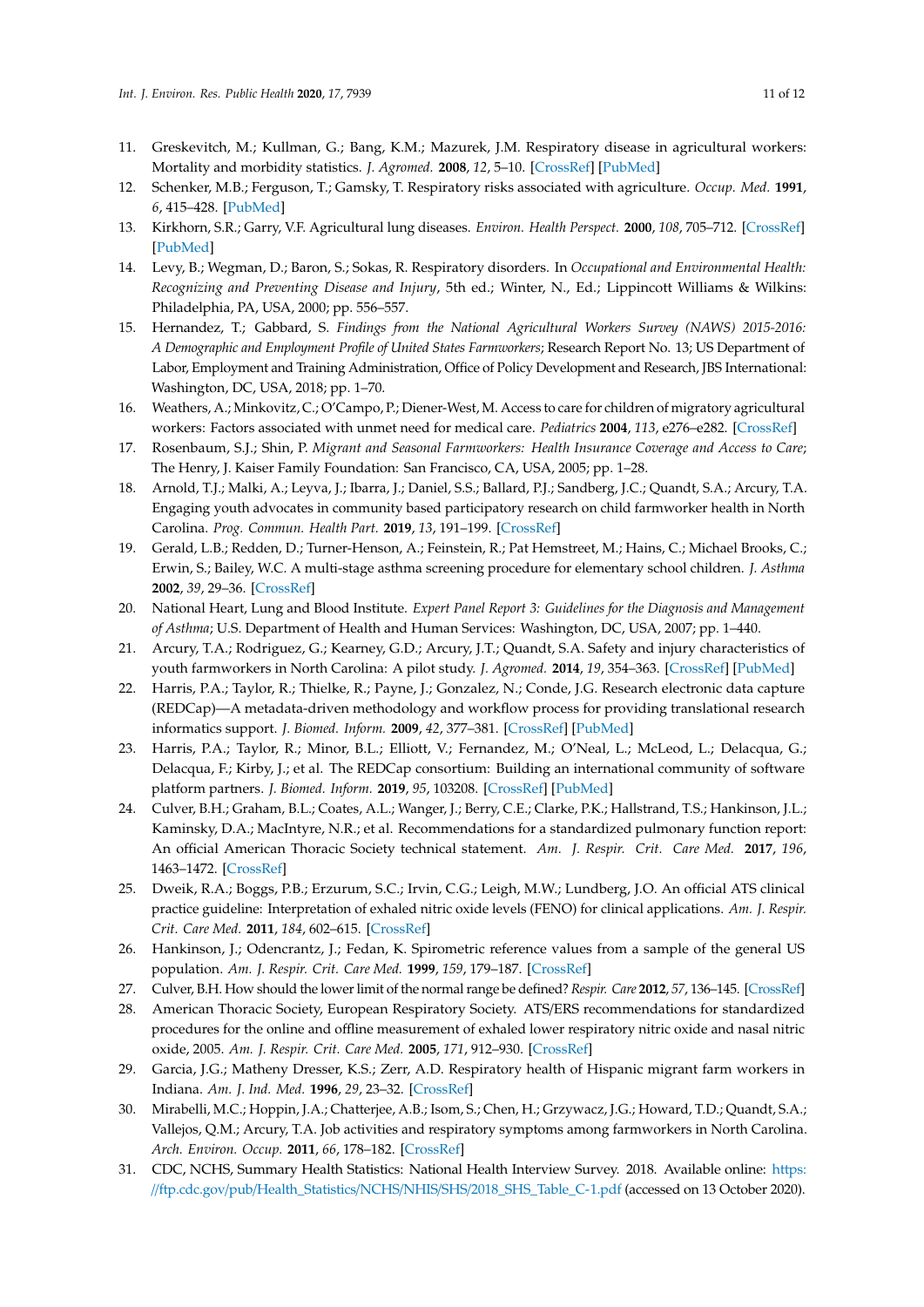- <span id="page-10-0"></span>11. Greskevitch, M.; Kullman, G.; Bang, K.M.; Mazurek, J.M. Respiratory disease in agricultural workers: Mortality and morbidity statistics. *J. Agromed.* **2008**, *12*, 5–10. [\[CrossRef\]](http://dx.doi.org/10.1080/10599240701881482) [\[PubMed\]](http://www.ncbi.nlm.nih.gov/pubmed/19042666)
- <span id="page-10-1"></span>12. Schenker, M.B.; Ferguson, T.; Gamsky, T. Respiratory risks associated with agriculture. *Occup. Med.* **1991**, *6*, 415–428. [\[PubMed\]](http://www.ncbi.nlm.nih.gov/pubmed/1948527)
- 13. Kirkhorn, S.R.; Garry, V.F. Agricultural lung diseases. *Environ. Health Perspect.* **2000**, *108*, 705–712. [\[CrossRef\]](http://dx.doi.org/10.1289/ehp.00108s4705) [\[PubMed\]](http://www.ncbi.nlm.nih.gov/pubmed/10931789)
- <span id="page-10-2"></span>14. Levy, B.; Wegman, D.; Baron, S.; Sokas, R. Respiratory disorders. In *Occupational and Environmental Health: Recognizing and Preventing Disease and Injury*, 5th ed.; Winter, N., Ed.; Lippincott Williams & Wilkins: Philadelphia, PA, USA, 2000; pp. 556–557.
- <span id="page-10-3"></span>15. Hernandez, T.; Gabbard, S. *Findings from the National Agricultural Workers Survey (NAWS) 2015-2016: A Demographic and Employment Profile of United States Farmworkers*; Research Report No. 13; US Department of Labor, Employment and Training Administration, Office of Policy Development and Research, JBS International: Washington, DC, USA, 2018; pp. 1–70.
- <span id="page-10-19"></span>16. Weathers, A.; Minkovitz, C.; O'Campo, P.; Diener-West, M. Access to care for children of migratory agricultural workers: Factors associated with unmet need for medical care. *Pediatrics* **2004**, *113*, e276–e282. [\[CrossRef\]](http://dx.doi.org/10.1542/peds.113.4.e276)
- <span id="page-10-4"></span>17. Rosenbaum, S.J.; Shin, P. *Migrant and Seasonal Farmworkers: Health Insurance Coverage and Access to Care*; The Henry, J. Kaiser Family Foundation: San Francisco, CA, USA, 2005; pp. 1–28.
- <span id="page-10-5"></span>18. Arnold, T.J.; Malki, A.; Leyva, J.; Ibarra, J.; Daniel, S.S.; Ballard, P.J.; Sandberg, J.C.; Quandt, S.A.; Arcury, T.A. Engaging youth advocates in community based participatory research on child farmworker health in North Carolina. *Prog. Commun. Health Part.* **2019**, *13*, 191–199. [\[CrossRef\]](http://dx.doi.org/10.1353/cpr.2019.0019)
- <span id="page-10-6"></span>19. Gerald, L.B.; Redden, D.; Turner-Henson, A.; Feinstein, R.; Pat Hemstreet, M.; Hains, C.; Michael Brooks, C.; Erwin, S.; Bailey, W.C. A multi-stage asthma screening procedure for elementary school children. *J. Asthma* **2002**, *39*, 29–36. [\[CrossRef\]](http://dx.doi.org/10.1081/JAS-120000804)
- <span id="page-10-7"></span>20. National Heart, Lung and Blood Institute. *Expert Panel Report 3: Guidelines for the Diagnosis and Management of Asthma*; U.S. Department of Health and Human Services: Washington, DC, USA, 2007; pp. 1–440.
- <span id="page-10-8"></span>21. Arcury, T.A.; Rodriguez, G.; Kearney, G.D.; Arcury, J.T.; Quandt, S.A. Safety and injury characteristics of youth farmworkers in North Carolina: A pilot study. *J. Agromed.* **2014**, *19*, 354–363. [\[CrossRef\]](http://dx.doi.org/10.1080/1059924X.2014.945712) [\[PubMed\]](http://www.ncbi.nlm.nih.gov/pubmed/25275401)
- <span id="page-10-9"></span>22. Harris, P.A.; Taylor, R.; Thielke, R.; Payne, J.; Gonzalez, N.; Conde, J.G. Research electronic data capture (REDCap)—A metadata-driven methodology and workflow process for providing translational research informatics support. *J. Biomed. Inform.* **2009**, *42*, 377–381. [\[CrossRef\]](http://dx.doi.org/10.1016/j.jbi.2008.08.010) [\[PubMed\]](http://www.ncbi.nlm.nih.gov/pubmed/18929686)
- <span id="page-10-10"></span>23. Harris, P.A.; Taylor, R.; Minor, B.L.; Elliott, V.; Fernandez, M.; O'Neal, L.; McLeod, L.; Delacqua, G.; Delacqua, F.; Kirby, J.; et al. The REDCap consortium: Building an international community of software platform partners. *J. Biomed. Inform.* **2019**, *95*, 103208. [\[CrossRef\]](http://dx.doi.org/10.1016/j.jbi.2019.103208) [\[PubMed\]](http://www.ncbi.nlm.nih.gov/pubmed/31078660)
- <span id="page-10-11"></span>24. Culver, B.H.; Graham, B.L.; Coates, A.L.; Wanger, J.; Berry, C.E.; Clarke, P.K.; Hallstrand, T.S.; Hankinson, J.L.; Kaminsky, D.A.; MacIntyre, N.R.; et al. Recommendations for a standardized pulmonary function report: An official American Thoracic Society technical statement. *Am. J. Respir. Crit. Care Med.* **2017**, *196*, 1463–1472. [\[CrossRef\]](http://dx.doi.org/10.1164/rccm.201710-1981ST)
- <span id="page-10-12"></span>25. Dweik, R.A.; Boggs, P.B.; Erzurum, S.C.; Irvin, C.G.; Leigh, M.W.; Lundberg, J.O. An official ATS clinical practice guideline: Interpretation of exhaled nitric oxide levels (FENO) for clinical applications. *Am. J. Respir. Crit. Care Med.* **2011**, *184*, 602–615. [\[CrossRef\]](http://dx.doi.org/10.1164/rccm.9120-11ST)
- <span id="page-10-13"></span>26. Hankinson, J.; Odencrantz, J.; Fedan, K. Spirometric reference values from a sample of the general US population. *Am. J. Respir. Crit. Care Med.* **1999**, *159*, 179–187. [\[CrossRef\]](http://dx.doi.org/10.1164/ajrccm.159.1.9712108)
- <span id="page-10-15"></span><span id="page-10-14"></span>27. Culver, B.H. How should the lower limit of the normal range be defined? *Respir. Care* **2012**, *57*, 136–145. [\[CrossRef\]](http://dx.doi.org/10.4187/respcare.01427)
- 28. American Thoracic Society, European Respiratory Society. ATS/ERS recommendations for standardized procedures for the online and offline measurement of exhaled lower respiratory nitric oxide and nasal nitric oxide, 2005. *Am. J. Respir. Crit. Care Med.* **2005**, *171*, 912–930. [\[CrossRef\]](http://dx.doi.org/10.1164/rccm.200406-710ST)
- <span id="page-10-16"></span>29. Garcia, J.G.; Matheny Dresser, K.S.; Zerr, A.D. Respiratory health of Hispanic migrant farm workers in Indiana. *Am. J. Ind. Med.* **1996**, *29*, 23–32. [\[CrossRef\]](http://dx.doi.org/10.1002/(SICI)1097-0274(199601)29:1<23::AID-AJIM4>3.0.CO;2-)
- <span id="page-10-17"></span>30. Mirabelli, M.C.; Hoppin, J.A.; Chatterjee, A.B.; Isom, S.; Chen, H.; Grzywacz, J.G.; Howard, T.D.; Quandt, S.A.; Vallejos, Q.M.; Arcury, T.A. Job activities and respiratory symptoms among farmworkers in North Carolina. *Arch. Environ. Occup.* **2011**, *66*, 178–182. [\[CrossRef\]](http://dx.doi.org/10.1080/19338244.2010.539637)
- <span id="page-10-18"></span>31. CDC, NCHS, Summary Health Statistics: National Health Interview Survey. 2018. Available online: [https:](https://ftp.cdc.gov/pub/Health_Statistics/NCHS/NHIS/SHS/2018_SHS_Table_C-1.pdf) //ftp.cdc.gov/pub/Health\_Statistics/NCHS/NHIS/SHS/[2018\\_SHS\\_Table\\_C-1.pdf](https://ftp.cdc.gov/pub/Health_Statistics/NCHS/NHIS/SHS/2018_SHS_Table_C-1.pdf) (accessed on 13 October 2020).